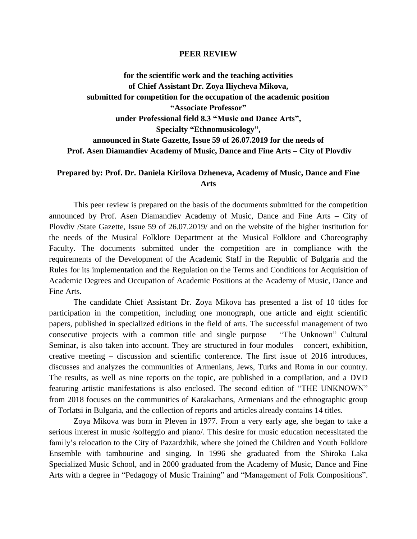## **PEER REVIEW**

**for the scientific work and the teaching activities of Chief Assistant Dr. Zoya Iliycheva Mikova, submitted for competition for the occupation of the academic position "Associate Professor" under Professional field 8.3 "Music and Dance Arts", Specialty "Ethnomusicology", announced in State Gazette, Issue 59 of 26.07.2019 for the needs of Prof. Asen Diamandiev Academy of Music, Dance and Fine Arts – City of Plovdiv**

## **Prepared by: Prof. Dr. Daniela Kirilova Dzheneva, Academy of Music, Dance and Fine Arts**

This peer review is prepared on the basis of the documents submitted for the competition announced by Prof. Asen Diamandiev Academy of Music, Dance and Fine Arts – City of Plovdiv /State Gazette, Issue 59 of 26.07.2019/ and on the website of the higher institution for the needs of the Musical Folklore Department at the Musical Folklore and Choreography Faculty. The documents submitted under the competition are in compliance with the requirements of the Development of the Academic Staff in the Republic of Bulgaria and the Rules for its implementation and the Regulation on the Terms and Conditions for Acquisition of Academic Degrees and Occupation of Academic Positions at the Academy of Music, Dance and Fine Arts.

The candidate Chief Assistant Dr. Zoya Mikova has presented a list of 10 titles for participation in the competition, including one monograph, one article and eight scientific papers, published in specialized editions in the field of arts. The successful management of two consecutive projects with a common title and single purpose – "The Unknown" Cultural Seminar, is also taken into account. They are structured in four modules – concert, exhibition, creative meeting – discussion and scientific conference. The first issue of 2016 introduces, discusses and analyzes the communities of Armenians, Jews, Turks and Roma in our country. The results, as well as nine reports on the topic, are published in a compilation, and a DVD featuring artistic manifestations is also enclosed. The second edition of "THE UNKNOWN" from 2018 focuses on the communities of Karakachans, Armenians and the ethnographic group of Torlatsi in Bulgaria, and the collection of reports and articles already contains 14 titles.

Zoya Mikova was born in Pleven in 1977. From a very early age, she began to take a serious interest in music /solfeggio and piano/. This desire for music education necessitated the family's relocation to the City of Pazardzhik, where she joined the Children and Youth Folklore Ensemble with tambourine and singing. In 1996 she graduated from the Shiroka Laka Specialized Music School, and in 2000 graduated from the Academy of Music, Dance and Fine Arts with a degree in "Pedagogy of Music Training" and "Management of Folk Compositions".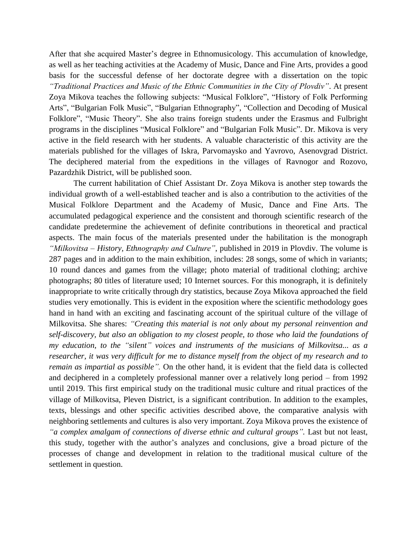After that she acquired Master's degree in Ethnomusicology. This accumulation of knowledge, as well as her teaching activities at the Academy of Music, Dance and Fine Arts, provides a good basis for the successful defense of her doctorate degree with a dissertation on the topic *"Traditional Practices and Music of the Ethnic Communities in the City of Plovdiv"*. At present Zoya Mikova teaches the following subjects: "Musical Folklore", "History of Folk Performing Arts", "Bulgarian Folk Music", "Bulgarian Ethnography", "Collection and Decoding of Musical Folklore", "Music Theory". She also trains foreign students under the Erasmus and Fulbright programs in the disciplines "Musical Folklore" and "Bulgarian Folk Music". Dr. Mikova is very active in the field research with her students. A valuable characteristic of this activity are the materials published for the villages of Iskra, Parvomaysko and Yavrovo, Asenovgrad District. The deciphered material from the expeditions in the villages of Ravnogor and Rozovo, Pazardzhik District, will be published soon.

The current habilitation of Chief Assistant Dr. Zoya Mikova is another step towards the individual growth of a well-established teacher and is also a contribution to the activities of the Musical Folklore Department and the Academy of Music, Dance and Fine Arts. The accumulated pedagogical experience and the consistent and thorough scientific research of the candidate predetermine the achievement of definite contributions in theoretical and practical aspects. The main focus of the materials presented under the habilitation is the monograph *"Milkovitsa – History, Ethnography and Culture"*, published in 2019 in Plovdiv. The volume is 287 pages and in addition to the main exhibition, includes: 28 songs, some of which in variants; 10 round dances and games from the village; photo material of traditional clothing; archive photographs; 80 titles of literature used; 10 Internet sources. For this monograph, it is definitely inappropriate to write critically through dry statistics, because Zoya Mikova approached the field studies very emotionally. This is evident in the exposition where the scientific methodology goes hand in hand with an exciting and fascinating account of the spiritual culture of the village of Milkovitsa. She shares: *"Creating this material is not only about my personal reinvention and self-discovery, but also an obligation to my closest people, to those who laid the foundations of my education, to the "silent" voices and instruments of the musicians of Milkovitsa... as a researcher, it was very difficult for me to distance myself from the object of my research and to remain as impartial as possible".* On the other hand, it is evident that the field data is collected and deciphered in a completely professional manner over a relatively long period – from 1992 until 2019. This first empirical study on the traditional music culture and ritual practices of the village of Milkovitsa, Pleven District, is a significant contribution. In addition to the examples, texts, blessings and other specific activities described above, the comparative analysis with neighboring settlements and cultures is also very important. Zoya Mikova proves the existence of "*a complex amalgam of connections of diverse ethnic and cultural groups*". Last but not least, this study, together with the author's analyzes and conclusions, give a broad picture of the processes of change and development in relation to the traditional musical culture of the settlement in question.